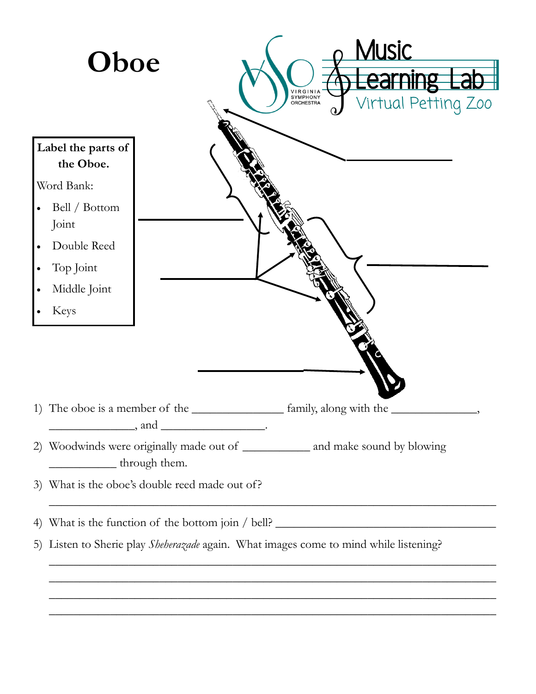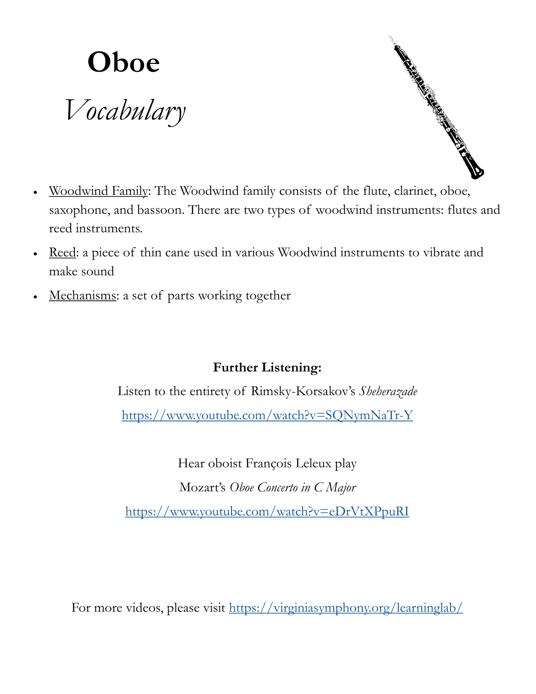

- Construction of the Constant of the Constant of the Constant of the Constant of the Constant of the Constant o
- Woodwind Family: The Woodwind family consists of the flute, clarinet, oboe, saxophone, and bassoon. There are two types of woodwind instruments: flutes and reed instruments.
- Reed: a piece of thin cane used in various Woodwind instruments to vibrate and make sound
- Mechanisms: a set of parts working together

## **Further Listening:**

Listen to the entirety of Rimsky-Korsakov's *Sheherazade* <https://www.youtube.com/watch?v=SQNymNaTr-Y>

Hear oboist François Leleux play Mozart's *Oboe Concerto in C Major* <https://www.youtube.com/watch?v=eDrVtXPpuRI>

For more videos, please visit <https://virginiasymphony.org/learninglab/>